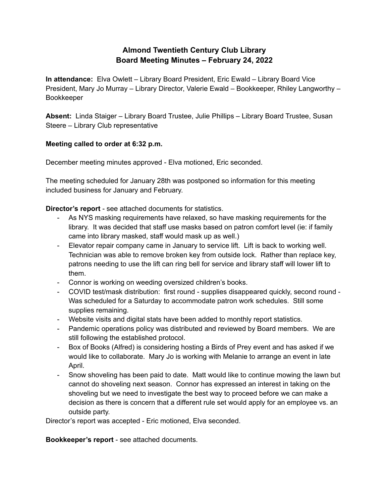### **Almond Twentieth Century Club Library Board Meeting Minutes – February 24, 2022**

**In attendance:** Elva Owlett – Library Board President, Eric Ewald – Library Board Vice President, Mary Jo Murray – Library Director, Valerie Ewald – Bookkeeper, Rhiley Langworthy – Bookkeeper

**Absent:** Linda Staiger – Library Board Trustee, Julie Phillips – Library Board Trustee, Susan Steere – Library Club representative

### **Meeting called to order at 6:32 p.m.**

December meeting minutes approved - Elva motioned, Eric seconded.

The meeting scheduled for January 28th was postponed so information for this meeting included business for January and February.

**Director's report** - see attached documents for statistics.

- As NYS masking requirements have relaxed, so have masking requirements for the library. It was decided that staff use masks based on patron comfort level (ie: if family came into library masked, staff would mask up as well.)
- Elevator repair company came in January to service lift. Lift is back to working well. Technician was able to remove broken key from outside lock. Rather than replace key, patrons needing to use the lift can ring bell for service and library staff will lower lift to them.
- Connor is working on weeding oversized children's books.
- COVID test/mask distribution: first round supplies disappeared quickly, second round Was scheduled for a Saturday to accommodate patron work schedules. Still some supplies remaining.
- Website visits and digital stats have been added to monthly report statistics.
- Pandemic operations policy was distributed and reviewed by Board members. We are still following the established protocol.
- Box of Books (Alfred) is considering hosting a Birds of Prey event and has asked if we would like to collaborate. Mary Jo is working with Melanie to arrange an event in late April.
- Snow shoveling has been paid to date. Matt would like to continue mowing the lawn but cannot do shoveling next season. Connor has expressed an interest in taking on the shoveling but we need to investigate the best way to proceed before we can make a decision as there is concern that a different rule set would apply for an employee vs. an outside party.

Director's report was accepted - Eric motioned, Elva seconded.

**Bookkeeper's report** - see attached documents.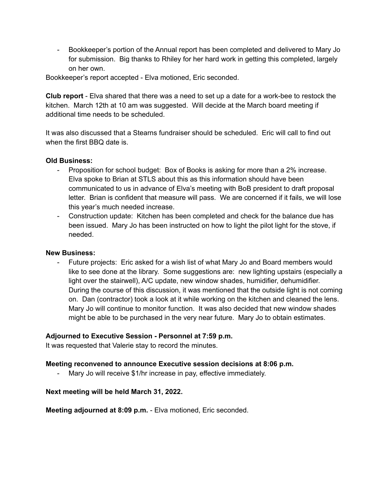- Bookkeeper's portion of the Annual report has been completed and delivered to Mary Jo for submission. Big thanks to Rhiley for her hard work in getting this completed, largely on her own.

Bookkeeper's report accepted - Elva motioned, Eric seconded.

**Club report** - Elva shared that there was a need to set up a date for a work-bee to restock the kitchen. March 12th at 10 am was suggested. Will decide at the March board meeting if additional time needs to be scheduled.

It was also discussed that a Stearns fundraiser should be scheduled. Eric will call to find out when the first BBQ date is.

### **Old Business:**

- Proposition for school budget: Box of Books is asking for more than a 2% increase. Elva spoke to Brian at STLS about this as this information should have been communicated to us in advance of Elva's meeting with BoB president to draft proposal letter. Brian is confident that measure will pass. We are concerned if it fails, we will lose this year's much needed increase.
- Construction update: Kitchen has been completed and check for the balance due has been issued. Mary Jo has been instructed on how to light the pilot light for the stove, if needed.

### **New Business:**

Future projects: Eric asked for a wish list of what Mary Jo and Board members would like to see done at the library. Some suggestions are: new lighting upstairs (especially a light over the stairwell), A/C update, new window shades, humidifier, dehumidifier. During the course of this discussion, it was mentioned that the outside light is not coming on. Dan (contractor) took a look at it while working on the kitchen and cleaned the lens. Mary Jo will continue to monitor function. It was also decided that new window shades might be able to be purchased in the very near future. Mary Jo to obtain estimates.

### **Adjourned to Executive Session - Personnel at 7:59 p.m.**

It was requested that Valerie stay to record the minutes.

### **Meeting reconvened to announce Executive session decisions at 8:06 p.m.**

- Mary Jo will receive \$1/hr increase in pay, effective immediately.

### **Next meeting will be held March 31, 2022.**

**Meeting adjourned at 8:09 p.m.** - Elva motioned, Eric seconded.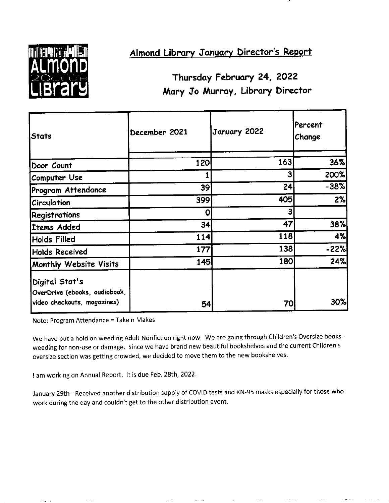

## Almond Library January Director's Report

Thursday February 24, 2022 Mary Jo Murray, Library Director

| Stats                                                                          | December 2021 | January 2022 | Percent<br>Change |
|--------------------------------------------------------------------------------|---------------|--------------|-------------------|
| Door Count                                                                     | 120           | 163          | 36%               |
| Computer Use                                                                   |               | 3            | 200%              |
| Program Attendance                                                             | 39            | 24           | $-38%$            |
| Circulation                                                                    | 399           | 405          | 2%                |
| Registrations                                                                  | Οl            | 3            |                   |
| Items Added                                                                    | 34            | 47           | 38%               |
| Holds Filled                                                                   | 114           | 118          | 4%                |
| <b>Holds Received</b>                                                          | 177           | 138          | -22%              |
| Monthly Website Visits                                                         | 145           | 180          | 24%               |
| Digital Stat's<br>OverDrive (ebooks, audiobook,<br>video checkouts, magazines) | 54            | 70           | 30%               |

Note: Program Attendance = Take n Makes

We have put a hold on weeding Adult Nonfiction right now. We are going through Children's Oversize books weeding for non-use or damage. Since we have brand new beautiful bookshelves and the current Children's oversize section was getting crowded, we decided to move them to the new bookshelves.

I am working on Annual Report. It is due Feb. 28th, 2022.

January 29th - Received another distribution supply of COVID tests and KN-95 masks especially for those who work during the day and couldn't get to the other distribution event.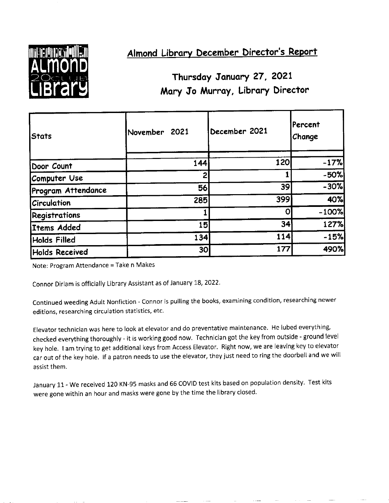

### Almond Library December Director's Report

## Thursday January 27, 2021 Mary Jo Murray, Library Director

| lStats               | November 2021   | December 2021   | lPercent<br>Change |
|----------------------|-----------------|-----------------|--------------------|
| Door Count           | 144             | 120             | $-17%$             |
| Computer Use         | 2               |                 | $-50%$             |
| Program Attendance   | 56              | 39 <sup>2</sup> | $-30%$             |
| Circulation          | 285             | 399             | 40%                |
| <b>Registrations</b> |                 | O               | $-100%$            |
| Items Added          | 15              | 34              | 127%               |
| Holds Filled         | 134             | 114             | $-15%$             |
| Holds Received       | 30 <sub>l</sub> | 177             | 490%               |

Note: Program Attendance = Take n Makes

Connor Dirlam is officially Library Assistant as of January 18, 2022.

Continued weeding Adult Nonfiction - Connor is pulling the books, examining condition, researching newer editions, researching circulation statistics, etc.

Elevator technician was here to look at elevator and do preventative maintenance. He lubed everything, checked everything thoroughly - it is working good now. Technician got the key from outside - ground level key hole. I am trying to get additional keys from Access Elevator. Right now, we are leaving key to elevator car out of the key hole. If a patron needs to use the elevator, they just need to ring the doorbell and we will assist them.

January 11 - We received 120 KN-95 masks and 66 COVID test kits based on population density. Test kits were gone within an hour and masks were gone by the time the library closed.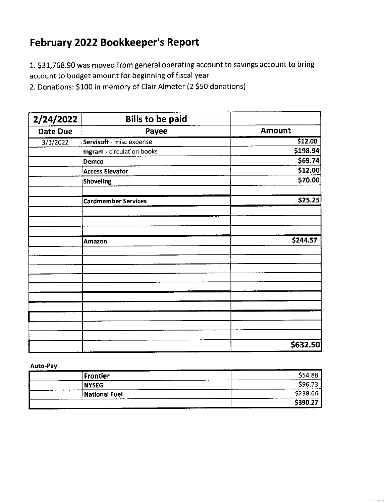## February 2022 Bookkeeper's Report

1. \$31,768.90 was moved from general operating account to savings account to bring account to budget amount for beginning of fiscal year

2. Donations: \$100 in memory of Clair Almeter (2 \$50 donations)

| 2/24/2022 | <b>Bills to be paid</b>    |               |
|-----------|----------------------------|---------------|
| Date Due  | Payee                      | <b>Amount</b> |
| 3/1/2022  | Servisoft - misc expense   | \$12.00       |
|           | Ingram - circulation books | \$198.94      |
|           | Demco                      | \$69.74       |
|           | <b>Access Elevator</b>     | \$12.00       |
|           | <b>Shoveling</b>           | \$70.00       |
|           | <b>Cardmember Services</b> | \$25.25       |
|           |                            |               |
|           | Amazon                     | \$244.57      |
|           |                            |               |
|           |                            |               |
|           |                            |               |
|           |                            |               |
|           |                            |               |
|           |                            | \$632.50      |

Auto-Pay

| <b> Frontier</b> | \$54.88  |
|------------------|----------|
| <b>INYSEG</b>    | \$96.73  |
| National Fuel    | \$238.66 |
| ------           | \$390.27 |